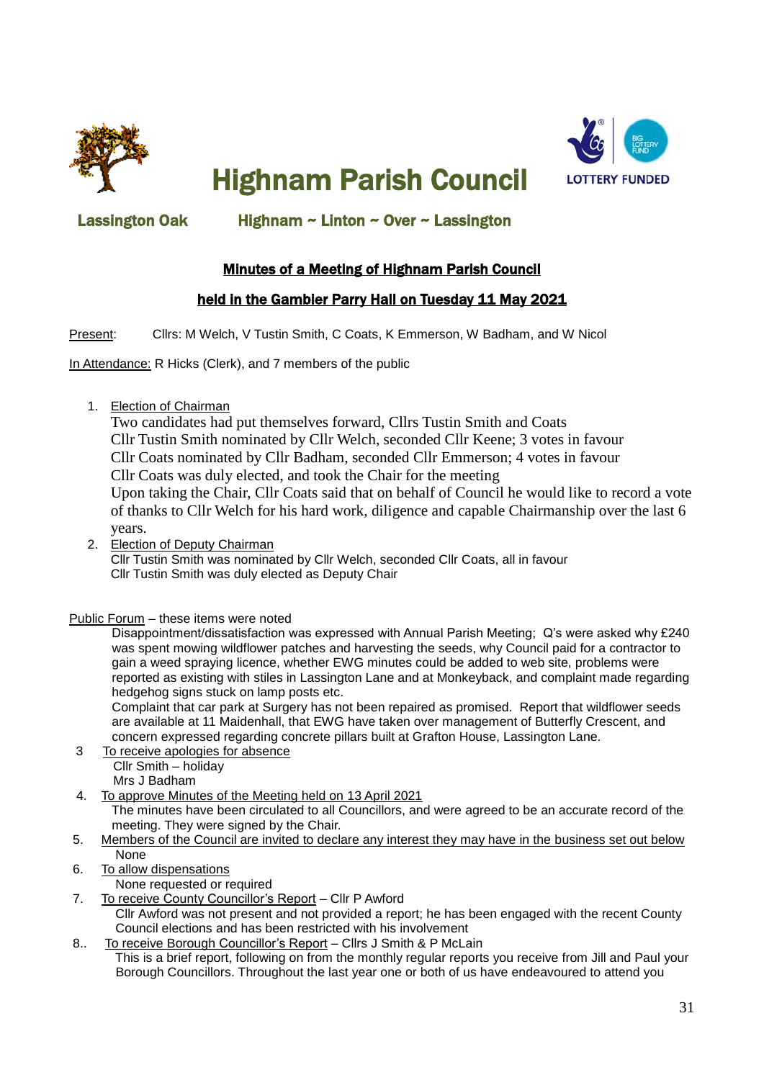

Highnam Parish Council



## Lassington Oak Highnam ~ Linton ~ Over ~ Lassington

# Minutes of a Meeting of Highnam Parish Council

## held in the Gambier Parry Hall on Tuesday 11 May 2021

Present: Cllrs: M Welch, V Tustin Smith, C Coats, K Emmerson, W Badham, and W Nicol

In Attendance: R Hicks (Clerk), and 7 members of the public

1. Election of Chairman

Two candidates had put themselves forward, Cllrs Tustin Smith and Coats Cllr Tustin Smith nominated by Cllr Welch, seconded Cllr Keene; 3 votes in favour Cllr Coats nominated by Cllr Badham, seconded Cllr Emmerson; 4 votes in favour Cllr Coats was duly elected, and took the Chair for the meeting Upon taking the Chair, Cllr Coats said that on behalf of Council he would like to record a vote of thanks to Cllr Welch for his hard work, diligence and capable Chairmanship over the last 6

years. 2. Election of Deputy Chairman Cllr Tustin Smith was nominated by Cllr Welch, seconded Cllr Coats, all in favour

Cllr Tustin Smith was duly elected as Deputy Chair

Public Forum – these items were noted

 Disappointment/dissatisfaction was expressed with Annual Parish Meeting; Q's were asked why £240 was spent mowing wildflower patches and harvesting the seeds, why Council paid for a contractor to gain a weed spraying licence, whether EWG minutes could be added to web site, problems were reported as existing with stiles in Lassington Lane and at Monkeyback, and complaint made regarding hedgehog signs stuck on lamp posts etc.

 Complaint that car park at Surgery has not been repaired as promised. Report that wildflower seeds are available at 11 Maidenhall, that EWG have taken over management of Butterfly Crescent, and concern expressed regarding concrete pillars built at Grafton House, Lassington Lane.

- 3 To receive apologies for absence Cllr Smith – holiday Mrs J Badham
- 4. To approve Minutes of the Meeting held on 13 April 2021 The minutes have been circulated to all Councillors, and were agreed to be an accurate record of the meeting. They were signed by the Chair.
- 5. Members of the Council are invited to declare any interest they may have in the business set out below None
- 6. To allow dispensations
	- None requested or required
- 7. To receive County Councillor's Report Cllr P Awford
	- Cllr Awford was not present and not provided a report; he has been engaged with the recent County Council elections and has been restricted with his involvement
- 8.. To receive Borough Councillor's Report Cllrs J Smith & P McLain

 This is a brief report, following on from the monthly regular reports you receive from Jill and Paul your Borough Councillors. Throughout the last year one or both of us have endeavoured to attend you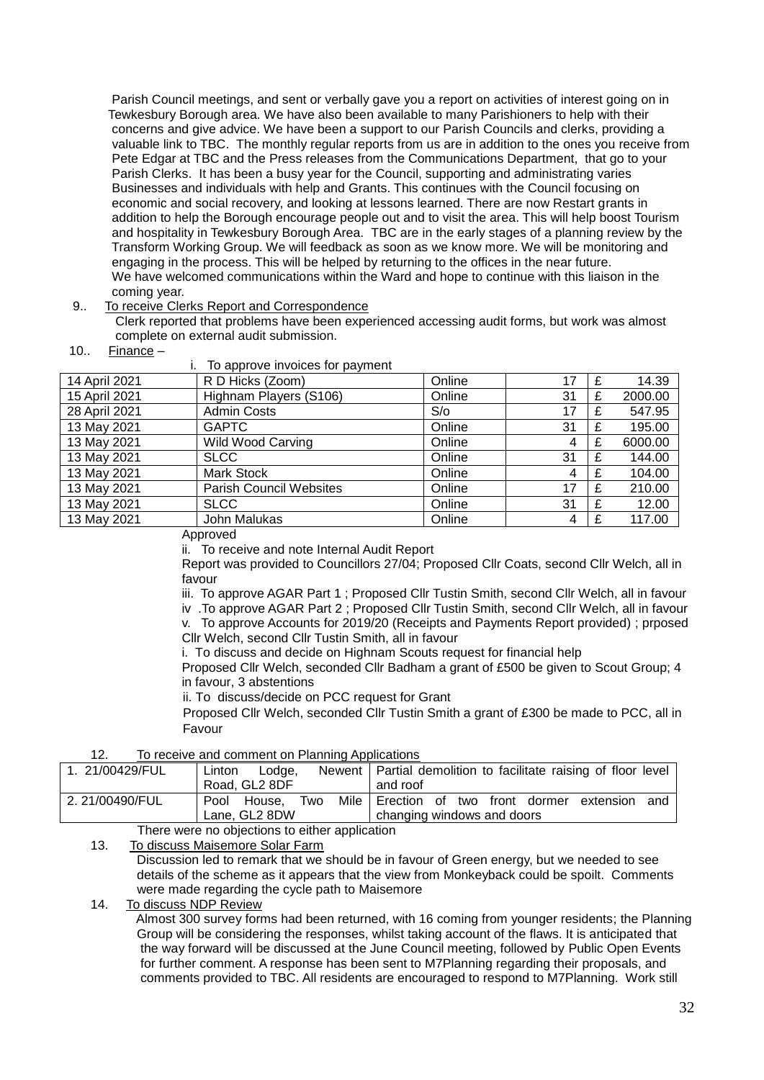Parish Council meetings, and sent or verbally gave you a report on activities of interest going on in Tewkesbury Borough area. We have also been available to many Parishioners to help with their concerns and give advice. We have been a support to our Parish Councils and clerks, providing a valuable link to TBC. The monthly regular reports from us are in addition to the ones you receive from Pete Edgar at TBC and the Press releases from the Communications Department, that go to your Parish Clerks. It has been a busy year for the Council, supporting and administrating varies Businesses and individuals with help and Grants. This continues with the Council focusing on economic and social recovery, and looking at lessons learned. There are now Restart grants in addition to help the Borough encourage people out and to visit the area. This will help boost Tourism and hospitality in Tewkesbury Borough Area. TBC are in the early stages of a planning review by the Transform Working Group. We will feedback as soon as we know more. We will be monitoring and engaging in the process. This will be helped by returning to the offices in the near future. We have welcomed communications within the Ward and hope to continue with this liaison in the coming year.

### 9.. To receive Clerks Report and Correspondence

 Clerk reported that problems have been experienced accessing audit forms, but work was almost complete on external audit submission.

10.. Finance –

| To approve invoices for payment |                                |        |    |  |         |  |
|---------------------------------|--------------------------------|--------|----|--|---------|--|
| 14 April 2021                   | R D Hicks (Zoom)               | Online | 17 |  | 14.39   |  |
| 15 April 2021                   | Highnam Players (S106)         | Online | 31 |  | 2000.00 |  |
| 28 April 2021                   | <b>Admin Costs</b>             | S/O    | 17 |  | 547.95  |  |
| 13 May 2021                     | <b>GAPTC</b>                   | Online | 31 |  | 195.00  |  |
| 13 May 2021                     | <b>Wild Wood Carving</b>       | Online | 4  |  | 6000.00 |  |
| 13 May 2021                     | <b>SLCC</b>                    | Online | 31 |  | 144.00  |  |
| 13 May 2021                     | Mark Stock                     | Online | 4  |  | 104.00  |  |
| 13 May 2021                     | <b>Parish Council Websites</b> | Online | 17 |  | 210.00  |  |
| 13 May 2021                     | <b>SLCC</b>                    | Online | 31 |  | 12.00   |  |
| 13 May 2021                     | John Malukas                   | Online | 4  |  | 117.00  |  |

Approved

ii. To receive and note Internal Audit Report

Report was provided to Councillors 27/04; Proposed Cllr Coats, second Cllr Welch, all in favour

iii. To approve AGAR Part 1 ; Proposed Cllr Tustin Smith, second Cllr Welch, all in favour

iv .To approve AGAR Part 2 ; Proposed Cllr Tustin Smith, second Cllr Welch, all in favour v. To approve Accounts for 2019/20 (Receipts and Payments Report provided) ; prposed Cllr Welch, second Cllr Tustin Smith, all in favour

i. To discuss and decide on Highnam Scouts request for financial help

 Proposed Cllr Welch, seconded Cllr Badham a grant of £500 be given to Scout Group; 4 in favour, 3 abstentions

ii. To discuss/decide on PCC request for Grant

 Proposed Cllr Welch, seconded Cllr Tustin Smith a grant of £300 be made to PCC, all in Favour

### 12. To receive and comment on Planning Applications

| 1. 21/00429/FUL | Lodge.<br>Linton      | Newent   Partial demolition to facilitate raising of floor level |  |  |  |
|-----------------|-----------------------|------------------------------------------------------------------|--|--|--|
|                 | Road, GL2 8DF         | and roof                                                         |  |  |  |
| 2.21/00490/FUL  | House.<br>Pool<br>Two | Mile Erection of two front dormer extension<br>and               |  |  |  |
|                 | Lane, GL2 8DW         | changing windows and doors                                       |  |  |  |
|                 |                       |                                                                  |  |  |  |

There were no objections to either application

13. To discuss Maisemore Solar Farm

 Discussion led to remark that we should be in favour of Green energy, but we needed to see details of the scheme as it appears that the view from Monkeyback could be spoilt. Comments were made regarding the cycle path to Maisemore

## 14. To discuss NDP Review

 Almost 300 survey forms had been returned, with 16 coming from younger residents; the Planning Group will be considering the responses, whilst taking account of the flaws. It is anticipated that the way forward will be discussed at the June Council meeting, followed by Public Open Events for further comment. A response has been sent to M7Planning regarding their proposals, and comments provided to TBC. All residents are encouraged to respond to M7Planning. Work still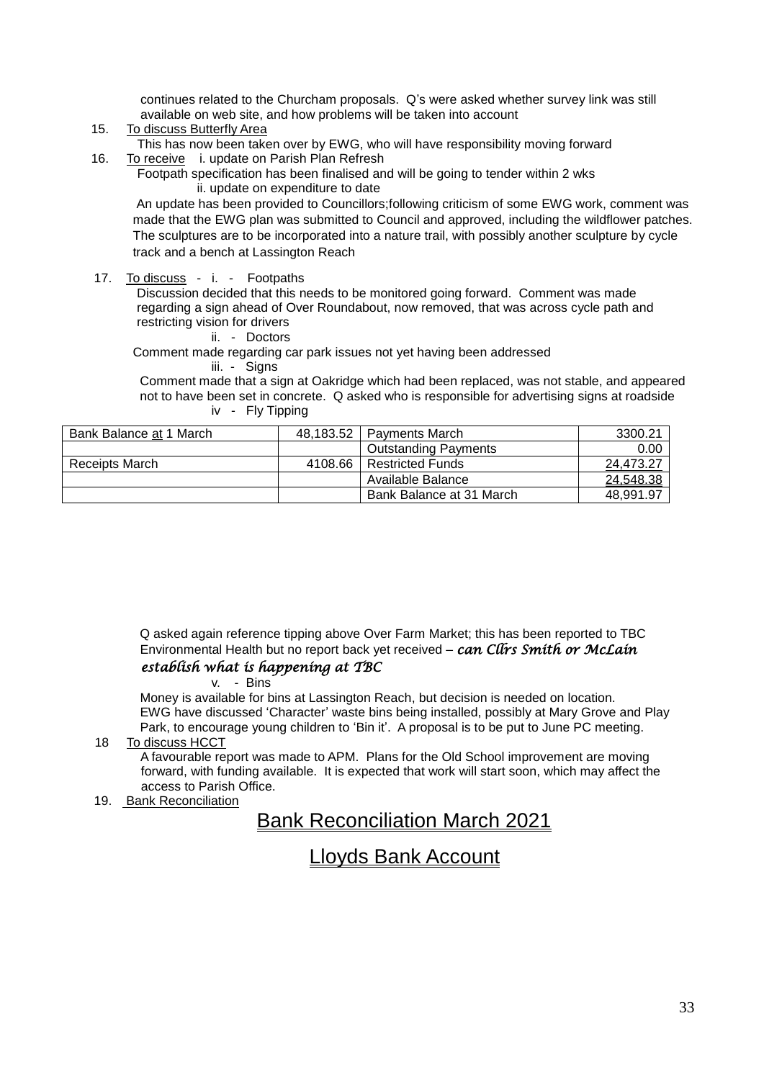continues related to the Churcham proposals. Q's were asked whether survey link was still available on web site, and how problems will be taken into account

- 15. To discuss Butterfly Area
	- This has now been taken over by EWG, who will have responsibility moving forward
- 16. To receive i. update on Parish Plan Refresh
	- Footpath specification has been finalised and will be going to tender within 2 wks ii. update on expenditure to date

 An update has been provided to Councillors;following criticism of some EWG work, comment was made that the EWG plan was submitted to Council and approved, including the wildflower patches. The sculptures are to be incorporated into a nature trail, with possibly another sculpture by cycle track and a bench at Lassington Reach

17. To discuss - i. - Footpaths

 Discussion decided that this needs to be monitored going forward. Comment was made regarding a sign ahead of Over Roundabout, now removed, that was across cycle path and restricting vision for drivers

ii. - Doctors

 Comment made regarding car park issues not yet having been addressed iii. - Signs

 Comment made that a sign at Oakridge which had been replaced, was not stable, and appeared not to have been set in concrete. Q asked who is responsible for advertising signs at roadside iv - Fly Tipping

| Bank Balance at 1 March | 48.183.52 | <b>Payments March</b>       | 3300.21   |
|-------------------------|-----------|-----------------------------|-----------|
|                         |           | <b>Outstanding Payments</b> | 0.00      |
| Receipts March          | 4108.66   | <b>Restricted Funds</b>     | 24,473.27 |
|                         |           | Available Balance           | 24,548.38 |
|                         |           | Bank Balance at 31 March    | 48,991.97 |

 Q asked again reference tipping above Over Farm Market; this has been reported to TBC Environmental Health but no report back yet received – *can Cllrs Smith or McLain* 

## *establish what is happening at TBC*

v. - Bins

 Money is available for bins at Lassington Reach, but decision is needed on location. EWG have discussed 'Character' waste bins being installed, possibly at Mary Grove and Play Park, to encourage young children to 'Bin it'. A proposal is to be put to June PC meeting.

## 18 To discuss HCCT

 A favourable report was made to APM. Plans for the Old School improvement are moving forward, with funding available. It is expected that work will start soon, which may affect the access to Parish Office.

19. Bank Reconciliation

# Bank Reconciliation March 2021

# Lloyds Bank Account